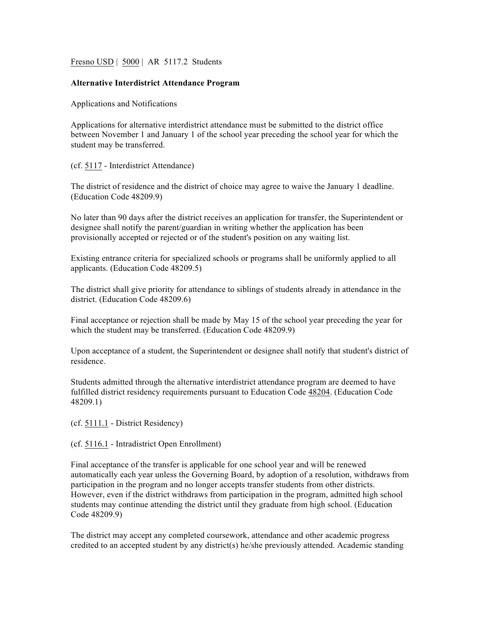Fresno USD | 5000 | AR 5117.2 Students

## **Alternative Interdistrict Attendance Program**

Applications and Notifications

Applications for alternative interdistrict attendance must be submitted to the district office between November 1 and January 1 of the school year preceding the school year for which the student may be transferred.

(cf. 5117 - Interdistrict Attendance)

The district of residence and the district of choice may agree to waive the January 1 deadline. (Education Code 48209.9)

No later than 90 days after the district receives an application for transfer, the Superintendent or designee shall notify the parent/guardian in writing whether the application has been provisionally accepted or rejected or of the student's position on any waiting list.

Existing entrance criteria for specialized schools or programs shall be uniformly applied to all applicants. (Education Code 48209.5)

The district shall give priority for attendance to siblings of students already in attendance in the district. (Education Code 48209.6)

Final acceptance or rejection shall be made by May 15 of the school year preceding the year for which the student may be transferred. (Education Code 48209.9)

Upon acceptance of a student, the Superintendent or designee shall notify that student's district of residence.

Students admitted through the alternative interdistrict attendance program are deemed to have fulfilled district residency requirements pursuant to Education Code 48204. (Education Code 48209.1)

(cf. 5111.1 - District Residency)

(cf. 5116.1 - Intradistrict Open Enrollment)

Final acceptance of the transfer is applicable for one school year and will be renewed automatically each year unless the Governing Board, by adoption of a resolution, withdraws from participation in the program and no longer accepts transfer students from other districts. However, even if the district withdraws from participation in the program, admitted high school students may continue attending the district until they graduate from high school. (Education Code 48209.9)

The district may accept any completed coursework, attendance and other academic progress credited to an accepted student by any district(s) he/she previously attended. Academic standing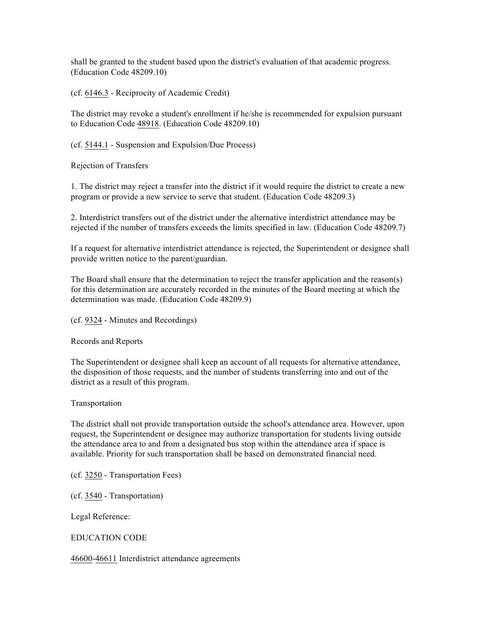shall be granted to the student based upon the district's evaluation of that academic progress. (Education Code 48209.10)

(cf. 6146.3 - Reciprocity of Academic Credit)

The district may revoke a student's enrollment if he/she is recommended for expulsion pursuant to Education Code 48918. (Education Code 48209.10)

(cf. 5144.1 - Suspension and Expulsion/Due Process)

Rejection of Transfers

1. The district may reject a transfer into the district if it would require the district to create a new program or provide a new service to serve that student. (Education Code 48209.3)

2. Interdistrict transfers out of the district under the alternative interdistrict attendance may be rejected if the number of transfers exceeds the limits specified in law. (Education Code 48209.7)

If a request for alternative interdistrict attendance is rejected, the Superintendent or designee shall provide written notice to the parent/guardian.

The Board shall ensure that the determination to reject the transfer application and the reason(s) for this determination are accurately recorded in the minutes of the Board meeting at which the determination was made. (Education Code 48209.9)

(cf. 9324 - Minutes and Recordings)

Records and Reports

The Superintendent or designee shall keep an account of all requests for alternative attendance, the disposition of those requests, and the number of students transferring into and out of the district as a result of this program.

Transportation

The district shall not provide transportation outside the school's attendance area. However, upon request, the Superintendent or designee may authorize transportation for students living outside the attendance area to and from a designated bus stop within the attendance area if space is available. Priority for such transportation shall be based on demonstrated financial need.

(cf. 3250 - Transportation Fees)

(cf. 3540 - Transportation)

Legal Reference:

EDUCATION CODE

46600-46611 Interdistrict attendance agreements